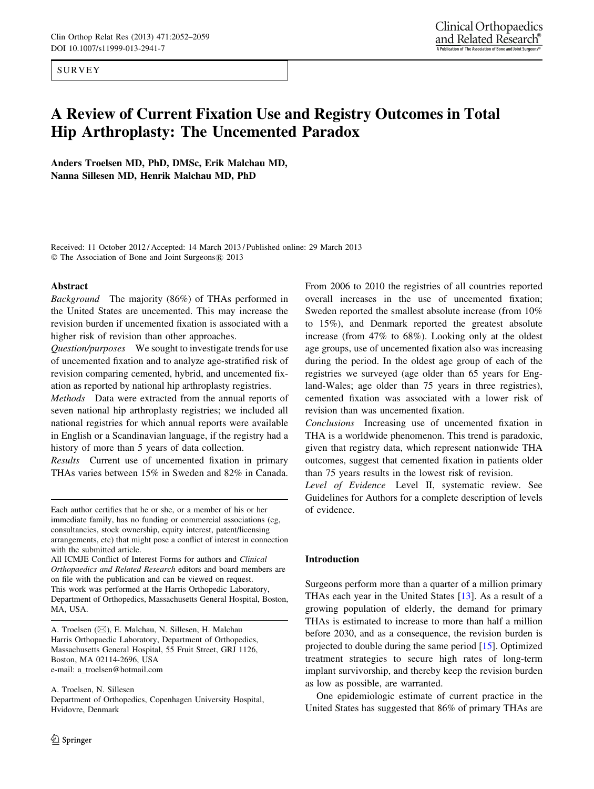SURVEY

# A Review of Current Fixation Use and Registry Outcomes in Total Hip Arthroplasty: The Uncemented Paradox

Anders Troelsen MD, PhD, DMSc, Erik Malchau MD, Nanna Sillesen MD, Henrik Malchau MD, PhD

Received: 11 October 2012 / Accepted: 14 March 2013 / Published online: 29 March 2013 © The Association of Bone and Joint Surgeons® 2013

#### Abstract

Background The majority (86%) of THAs performed in the United States are uncemented. This may increase the revision burden if uncemented fixation is associated with a higher risk of revision than other approaches.

Question/purposes We sought to investigate trends for use of uncemented fixation and to analyze age-stratified risk of revision comparing cemented, hybrid, and uncemented fixation as reported by national hip arthroplasty registries.

Methods Data were extracted from the annual reports of seven national hip arthroplasty registries; we included all national registries for which annual reports were available in English or a Scandinavian language, if the registry had a history of more than 5 years of data collection.

Results Current use of uncemented fixation in primary THAs varies between 15% in Sweden and 82% in Canada.

All ICMJE Conflict of Interest Forms for authors and Clinical Orthopaedics and Related Research editors and board members are on file with the publication and can be viewed on request. This work was performed at the Harris Orthopedic Laboratory, Department of Orthopedics, Massachusetts General Hospital, Boston, MA, USA.

A. Troelsen (&), E. Malchau, N. Sillesen, H. Malchau Harris Orthopaedic Laboratory, Department of Orthopedics, Massachusetts General Hospital, 55 Fruit Street, GRJ 1126, Boston, MA 02114-2696, USA e-mail: a\_troelsen@hotmail.com

A. Troelsen, N. Sillesen Department of Orthopedics, Copenhagen University Hospital, Hvidovre, Denmark

From 2006 to 2010 the registries of all countries reported overall increases in the use of uncemented fixation; Sweden reported the smallest absolute increase (from 10% to 15%), and Denmark reported the greatest absolute increase (from 47% to 68%). Looking only at the oldest age groups, use of uncemented fixation also was increasing during the period. In the oldest age group of each of the registries we surveyed (age older than 65 years for England-Wales; age older than 75 years in three registries), cemented fixation was associated with a lower risk of revision than was uncemented fixation.

Conclusions Increasing use of uncemented fixation in THA is a worldwide phenomenon. This trend is paradoxic, given that registry data, which represent nationwide THA outcomes, suggest that cemented fixation in patients older than 75 years results in the lowest risk of revision.

Level of Evidence Level II, systematic review. See Guidelines for Authors for a complete description of levels of evidence.

## Introduction

Surgeons perform more than a quarter of a million primary THAs each year in the United States [\[13](#page-7-0)]. As a result of a growing population of elderly, the demand for primary THAs is estimated to increase to more than half a million before 2030, and as a consequence, the revision burden is projected to double during the same period [[15\]](#page-7-0). Optimized treatment strategies to secure high rates of long-term implant survivorship, and thereby keep the revision burden as low as possible, are warranted.

One epidemiologic estimate of current practice in the United States has suggested that 86% of primary THAs are

Each author certifies that he or she, or a member of his or her immediate family, has no funding or commercial associations (eg, consultancies, stock ownership, equity interest, patent/licensing arrangements, etc) that might pose a conflict of interest in connection with the submitted article.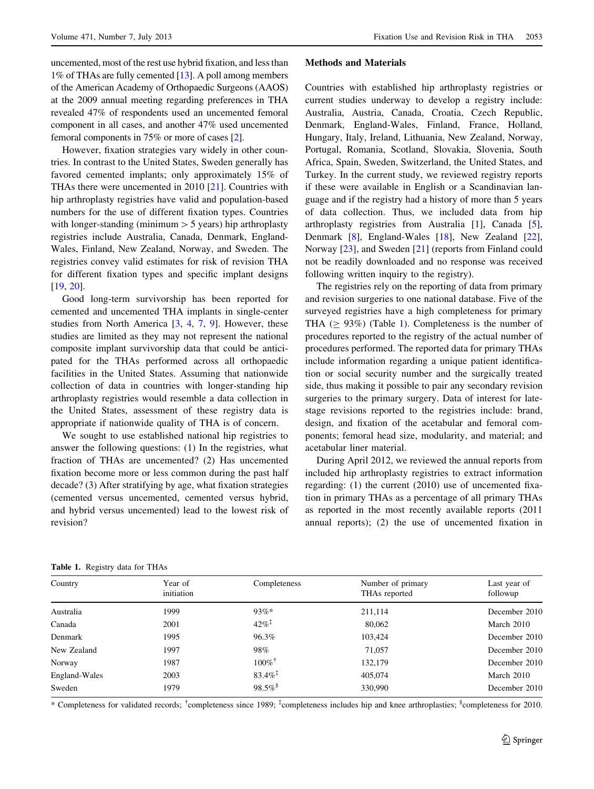uncemented, most of the rest use hybrid fixation, and less than 1% of THAs are fully cemented [\[13\]](#page-7-0). A poll among members of the American Academy of Orthopaedic Surgeons (AAOS) at the 2009 annual meeting regarding preferences in THA revealed 47% of respondents used an uncemented femoral component in all cases, and another 47% used uncemented femoral components in 75% or more of cases [[2\]](#page-6-0).

However, fixation strategies vary widely in other countries. In contrast to the United States, Sweden generally has favored cemented implants; only approximately 15% of THAs there were uncemented in 2010 [\[21](#page-7-0)]. Countries with hip arthroplasty registries have valid and population-based numbers for the use of different fixation types. Countries with longer-standing (minimum  $> 5$  years) hip arthroplasty registries include Australia, Canada, Denmark, England-Wales, Finland, New Zealand, Norway, and Sweden. The registries convey valid estimates for risk of revision THA for different fixation types and specific implant designs [\[19](#page-7-0), [20\]](#page-7-0).

Good long-term survivorship has been reported for cemented and uncemented THA implants in single-center studies from North America [[3,](#page-6-0) [4](#page-6-0), [7,](#page-7-0) [9](#page-7-0)]. However, these studies are limited as they may not represent the national composite implant survivorship data that could be anticipated for the THAs performed across all orthopaedic facilities in the United States. Assuming that nationwide collection of data in countries with longer-standing hip arthroplasty registries would resemble a data collection in the United States, assessment of these registry data is appropriate if nationwide quality of THA is of concern.

We sought to use established national hip registries to answer the following questions: (1) In the registries, what fraction of THAs are uncemented? (2) Has uncemented fixation become more or less common during the past half decade? (3) After stratifying by age, what fixation strategies (cemented versus uncemented, cemented versus hybrid, and hybrid versus uncemented) lead to the lowest risk of revision?

#### Methods and Materials

Countries with established hip arthroplasty registries or current studies underway to develop a registry include: Australia, Austria, Canada, Croatia, Czech Republic, Denmark, England-Wales, Finland, France, Holland, Hungary, Italy, Ireland, Lithuania, New Zealand, Norway, Portugal, Romania, Scotland, Slovakia, Slovenia, South Africa, Spain, Sweden, Switzerland, the United States, and Turkey. In the current study, we reviewed registry reports if these were available in English or a Scandinavian language and if the registry had a history of more than 5 years of data collection. Thus, we included data from hip arthroplasty registries from Australia [\[1](#page-6-0)], Canada [\[5](#page-7-0)], Denmark [[8\]](#page-7-0), England-Wales [\[18](#page-7-0)], New Zealand [\[22](#page-7-0)], Norway [\[23](#page-7-0)], and Sweden [\[21](#page-7-0)] (reports from Finland could not be readily downloaded and no response was received following written inquiry to the registry).

The registries rely on the reporting of data from primary and revision surgeries to one national database. Five of the surveyed registries have a high completeness for primary THA ( $\geq$  93%) (Table 1). Completeness is the number of procedures reported to the registry of the actual number of procedures performed. The reported data for primary THAs include information regarding a unique patient identification or social security number and the surgically treated side, thus making it possible to pair any secondary revision surgeries to the primary surgery. Data of interest for latestage revisions reported to the registries include: brand, design, and fixation of the acetabular and femoral components; femoral head size, modularity, and material; and acetabular liner material.

During April 2012, we reviewed the annual reports from included hip arthroplasty registries to extract information regarding: (1) the current (2010) use of uncemented fixation in primary THAs as a percentage of all primary THAs as reported in the most recently available reports (2011 annual reports); (2) the use of uncemented fixation in

| <b>Table 1.</b> Registry data for THAs |
|----------------------------------------|
|----------------------------------------|

| Country       | Year of<br>initiation | Completeness          | Number of primary<br>THAs reported | Last year of<br>followup |
|---------------|-----------------------|-----------------------|------------------------------------|--------------------------|
| Australia     | 1999                  | $93%$ *               | 211,114                            | December 2010            |
| Canada        | 2001                  | $42\%$ <sup>‡</sup>   | 80,062                             | March 2010               |
| Denmark       | 1995                  | 96.3%                 | 103,424                            | December 2010            |
| New Zealand   | 1997                  | 98%                   | 71,057                             | December 2010            |
| Norway        | 1987                  | $100\%$ <sup>†</sup>  | 132,179                            | December 2010            |
| England-Wales | 2003                  | $83.4\%$ <sup>‡</sup> | 405,074                            | March 2010               |
| Sweden        | 1979                  | $98.5\%$              | 330,990                            | December 2010            |

\* Completeness for validated records; <sup>†</sup>completeness since 1989; <sup>‡</sup>completeness includes hip and knee arthroplasties; <sup>\$</sup>completeness for 2010.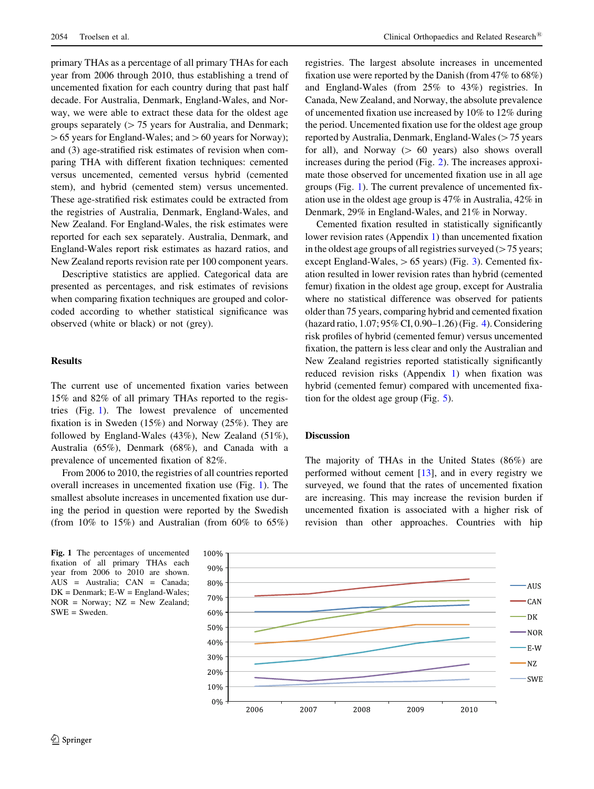primary THAs as a percentage of all primary THAs for each year from 2006 through 2010, thus establishing a trend of uncemented fixation for each country during that past half decade. For Australia, Denmark, England-Wales, and Norway, we were able to extract these data for the oldest age groups separately  $(> 75$  years for Australia, and Denmark;  $> 65$  years for England-Wales; and  $> 60$  years for Norway); and (3) age-stratified risk estimates of revision when comparing THA with different fixation techniques: cemented versus uncemented, cemented versus hybrid (cemented stem), and hybrid (cemented stem) versus uncemented. These age-stratified risk estimates could be extracted from the registries of Australia, Denmark, England-Wales, and New Zealand. For England-Wales, the risk estimates were reported for each sex separately. Australia, Denmark, and England-Wales report risk estimates as hazard ratios, and New Zealand reports revision rate per 100 component years.

Descriptive statistics are applied. Categorical data are presented as percentages, and risk estimates of revisions when comparing fixation techniques are grouped and colorcoded according to whether statistical significance was observed (white or black) or not (grey).

## Results

The current use of uncemented fixation varies between 15% and 82% of all primary THAs reported to the registries (Fig. 1). The lowest prevalence of uncemented fixation is in Sweden (15%) and Norway (25%). They are followed by England-Wales (43%), New Zealand (51%), Australia (65%), Denmark (68%), and Canada with a prevalence of uncemented fixation of 82%.

From 2006 to 2010, the registries of all countries reported overall increases in uncemented fixation use (Fig. 1). The smallest absolute increases in uncemented fixation use during the period in question were reported by the Swedish (from 10% to 15%) and Australian (from 60% to 65%)

Fig. 1 The percentages of uncemented fixation of all primary THAs each year from 2006 to 2010 are shown. AUS = Australia; CAN = Canada; DK = Denmark; E-W = England-Wales;  $NOR = Norway$ ;  $NZ = New Zealand$ ; SWE = Sweden.

registries. The largest absolute increases in uncemented fixation use were reported by the Danish (from 47% to 68%) and England-Wales (from 25% to 43%) registries. In Canada, New Zealand, and Norway, the absolute prevalence of uncemented fixation use increased by 10% to 12% during the period. Uncemented fixation use for the oldest age group reported by Australia, Denmark, England-Wales ( $> 75$  years for all), and Norway  $(> 60$  years) also shows overall increases during the period (Fig. [2\)](#page-3-0). The increases approximate those observed for uncemented fixation use in all age groups (Fig. 1). The current prevalence of uncemented fixation use in the oldest age group is 47% in Australia, 42% in Denmark, 29% in England-Wales, and 21% in Norway.

Cemented fixation resulted in statistically significantly lower revision rates (Appendix [1](#page-6-0)) than uncemented fixation in the oldest age groups of all registries surveyed ( $> 75$  years; except England-Wales,  $> 65$  years) (Fig. [3\)](#page-3-0). Cemented fixation resulted in lower revision rates than hybrid (cemented femur) fixation in the oldest age group, except for Australia where no statistical difference was observed for patients older than 75 years, comparing hybrid and cemented fixation (hazard ratio, 1.07; 95% CI, 0.90–1.26) (Fig. [4](#page-3-0)). Considering risk profiles of hybrid (cemented femur) versus uncemented fixation, the pattern is less clear and only the Australian and New Zealand registries reported statistically significantly reduced revision risks (Appendix [1\)](#page-6-0) when fixation was hybrid (cemented femur) compared with uncemented fixation for the oldest age group (Fig. [5](#page-4-0)).

### Discussion

The majority of THAs in the United States (86%) are performed without cement  $[13]$  $[13]$ , and in every registry we surveyed, we found that the rates of uncemented fixation are increasing. This may increase the revision burden if uncemented fixation is associated with a higher risk of revision than other approaches. Countries with hip

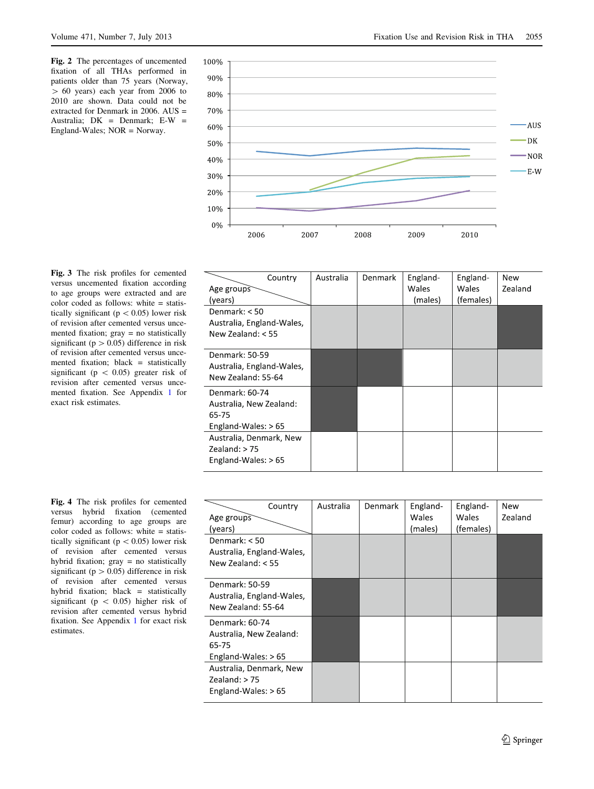<span id="page-3-0"></span>Fig. 2 The percentages of uncemented fixation of all THAs performed in patients older than 75 years (Norway,  $> 60$  years) each year from 2006 to 2010 are shown. Data could not be extracted for Denmark in 2006. AUS = Australia; DK = Denmark; E-W = England-Wales; NOR = Norway.



| Fig. 3 The risk profiles for cemented                                                                                                                                                                                                                               |                                   |
|---------------------------------------------------------------------------------------------------------------------------------------------------------------------------------------------------------------------------------------------------------------------|-----------------------------------|
| versus uncemented fixation according<br>to age groups were extracted and are<br>color coded as follows: white $=$ statis-<br>tically significant ( $p < 0.05$ ) lower risk<br>of revision after cemented versus unce-<br>mented fixation; $gray = no$ statistically | Age<br>(yea<br>Den<br>Aust<br>New |
| significant ( $p > 0.05$ ) difference in risk                                                                                                                                                                                                                       |                                   |
| of revision after cemented versus unce-<br>mented fixation; black $=$ statistically<br>significant ( $p < 0.05$ ) greater risk of<br>revision after cemented versus unce-                                                                                           | Den<br>Aust<br>New                |
| mented fixation. See Appendix 1 for                                                                                                                                                                                                                                 | Den                               |
| exact risk estimates.                                                                                                                                                                                                                                               | Aust                              |

|                           | Country | Australia | Denmark | England- | England-  | New     |
|---------------------------|---------|-----------|---------|----------|-----------|---------|
| Age groups                |         |           |         | Wales    | Wales     | Zealand |
| (years)                   |         |           |         | (males)  | (females) |         |
| Denmark: < 50             |         |           |         |          |           |         |
| Australia, England-Wales, |         |           |         |          |           |         |
| New Zealand: $<$ 55       |         |           |         |          |           |         |
|                           |         |           |         |          |           |         |
| Denmark: 50-59            |         |           |         |          |           |         |
| Australia, England-Wales, |         |           |         |          |           |         |
| New Zealand: 55-64        |         |           |         |          |           |         |
| Denmark: 60-74            |         |           |         |          |           |         |
| Australia, New Zealand:   |         |           |         |          |           |         |
| 65-75                     |         |           |         |          |           |         |
| England-Wales: $> 65$     |         |           |         |          |           |         |
| Australia, Denmark, New   |         |           |         |          |           |         |
| Zealand: $> 75$           |         |           |         |          |           |         |
| England-Wales: $> 65$     |         |           |         |          |           |         |
|                           |         |           |         |          |           |         |

Fig. 4 The risk profiles for cemented versus hybrid fixation (cemented femur) according to age groups are color coded as follows: white = statistically significant ( $p < 0.05$ ) lower risk of revision after cemented versus hybrid fixation; gray = no statistically significant ( $p > 0.05$ ) difference in risk of revision after cemented versus hybrid fixation; black = statistically significant ( $p \, < \, 0.05$ ) higher risk of revision after cemented versus hybrid fixation. See Appendix [1](#page-6-0) for exact risk estimates.

| Country<br>Age groups<br>(vears)                                            | Australia | Denmark | England-<br>Wales<br>(males) | England-<br>Wales<br>(females) | <b>New</b><br>Zealand |
|-----------------------------------------------------------------------------|-----------|---------|------------------------------|--------------------------------|-----------------------|
| Denmark: < 50<br>Australia, England-Wales,<br>New Zealand: $<$ 55           |           |         |                              |                                |                       |
| Denmark: 50-59<br>Australia, England-Wales,<br>New Zealand: 55-64           |           |         |                              |                                |                       |
| Denmark: 60-74<br>Australia, New Zealand:<br>65-75<br>England-Wales: $> 65$ |           |         |                              |                                |                       |
| Australia, Denmark, New<br>Zealand: $> 75$<br>England-Wales: $> 65$         |           |         |                              |                                |                       |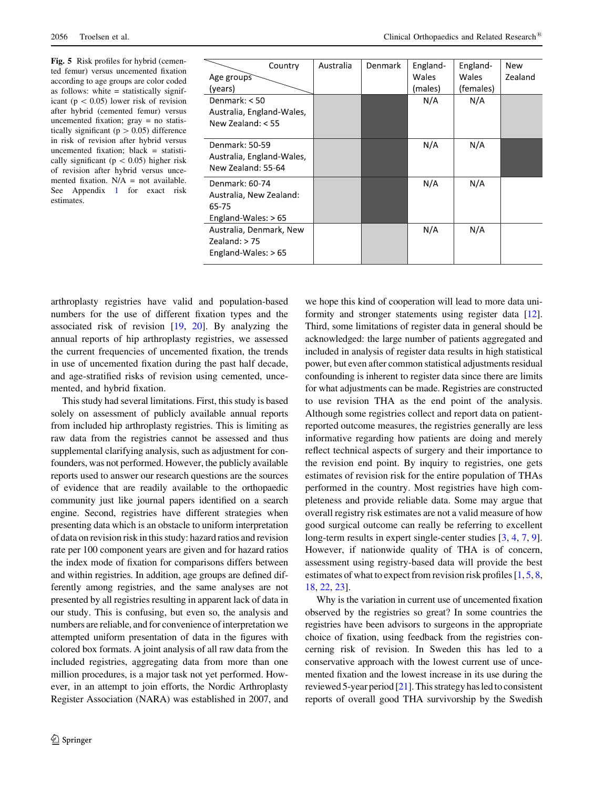<span id="page-4-0"></span>Fig. 5 Risk profiles for hybrid (cemented femur) versus uncemented fixation according to age groups are color coded as follows: white  $=$  statistically significant ( $p \, < 0.05$ ) lower risk of revision after hybrid (cemented femur) versus uncemented fixation; gray = no statistically significant ( $p > 0.05$ ) difference in risk of revision after hybrid versus uncemented fixation:  $black = statistic$ cally significant ( $p \lt 0.05$ ) higher risk of revision after hybrid versus uncemented fixation. N/A = not available. See Appendix [1](#page-6-0) for exact risk estimates.

| Country                   | Australia | <b>Denmark</b> | England- | England-  | New     |
|---------------------------|-----------|----------------|----------|-----------|---------|
| Age groups                |           |                | Wales    | Wales     | Zealand |
| (years)                   |           |                | (males)  | (females) |         |
| Denmark: < 50             |           |                | N/A      | N/A       |         |
| Australia, England-Wales, |           |                |          |           |         |
| New Zealand: $<$ 55       |           |                |          |           |         |
|                           |           |                |          |           |         |
| Denmark: 50-59            |           |                | N/A      | N/A       |         |
| Australia, England-Wales, |           |                |          |           |         |
| New Zealand: 55-64        |           |                |          |           |         |
| Denmark: 60-74            |           |                | N/A      | N/A       |         |
| Australia, New Zealand:   |           |                |          |           |         |
| 65-75                     |           |                |          |           |         |
| England-Wales: $> 65$     |           |                |          |           |         |
| Australia, Denmark, New   |           |                | N/A      | N/A       |         |
| Zealand: $> 75$           |           |                |          |           |         |
| England-Wales: $> 65$     |           |                |          |           |         |
|                           |           |                |          |           |         |

arthroplasty registries have valid and population-based numbers for the use of different fixation types and the associated risk of revision [[19](#page-7-0), [20\]](#page-7-0). By analyzing the annual reports of hip arthroplasty registries, we assessed the current frequencies of uncemented fixation, the trends in use of uncemented fixation during the past half decade, and age-stratified risks of revision using cemented, uncemented, and hybrid fixation.

This study had several limitations. First, this study is based solely on assessment of publicly available annual reports from included hip arthroplasty registries. This is limiting as raw data from the registries cannot be assessed and thus supplemental clarifying analysis, such as adjustment for confounders, was not performed. However, the publicly available reports used to answer our research questions are the sources of evidence that are readily available to the orthopaedic community just like journal papers identified on a search engine. Second, registries have different strategies when presenting data which is an obstacle to uniform interpretation of data on revision risk in this study: hazard ratios and revision rate per 100 component years are given and for hazard ratios the index mode of fixation for comparisons differs between and within registries. In addition, age groups are defined differently among registries, and the same analyses are not presented by all registries resulting in apparent lack of data in our study. This is confusing, but even so, the analysis and numbers are reliable, and for convenience of interpretation we attempted uniform presentation of data in the figures with colored box formats. A joint analysis of all raw data from the included registries, aggregating data from more than one million procedures, is a major task not yet performed. However, in an attempt to join efforts, the Nordic Arthroplasty Register Association (NARA) was established in 2007, and

we hope this kind of cooperation will lead to more data uniformity and stronger statements using register data [[12\]](#page-7-0). Third, some limitations of register data in general should be acknowledged: the large number of patients aggregated and included in analysis of register data results in high statistical power, but even after common statistical adjustments residual confounding is inherent to register data since there are limits for what adjustments can be made. Registries are constructed to use revision THA as the end point of the analysis. Although some registries collect and report data on patientreported outcome measures, the registries generally are less informative regarding how patients are doing and merely reflect technical aspects of surgery and their importance to the revision end point. By inquiry to registries, one gets estimates of revision risk for the entire population of THAs performed in the country. Most registries have high completeness and provide reliable data. Some may argue that overall registry risk estimates are not a valid measure of how good surgical outcome can really be referring to excellent long-term results in expert single-center studies [\[3](#page-6-0), [4](#page-6-0), [7](#page-7-0), [9](#page-7-0)]. However, if nationwide quality of THA is of concern, assessment using registry-based data will provide the best estimates of what to expect from revision risk profiles [[1,](#page-6-0) [5,](#page-7-0) [8,](#page-7-0) [18](#page-7-0), [22](#page-7-0), [23](#page-7-0)].

Why is the variation in current use of uncemented fixation observed by the registries so great? In some countries the registries have been advisors to surgeons in the appropriate choice of fixation, using feedback from the registries concerning risk of revision. In Sweden this has led to a conservative approach with the lowest current use of uncemented fixation and the lowest increase in its use during the reviewed 5-year period [[21\]](#page-7-0). This strategy has led to consistent reports of overall good THA survivorship by the Swedish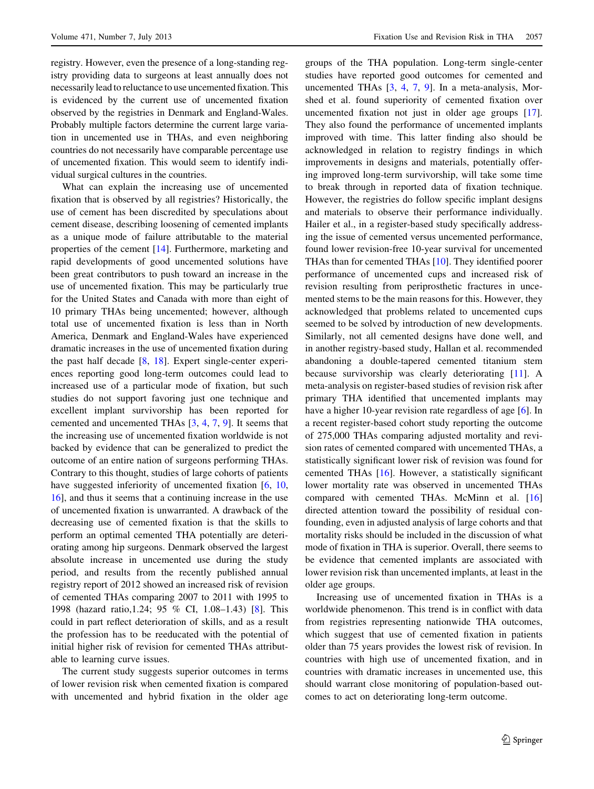registry. However, even the presence of a long-standing registry providing data to surgeons at least annually does not necessarily lead to reluctance to use uncemented fixation. This is evidenced by the current use of uncemented fixation observed by the registries in Denmark and England-Wales. Probably multiple factors determine the current large variation in uncemented use in THAs, and even neighboring countries do not necessarily have comparable percentage use of uncemented fixation. This would seem to identify individual surgical cultures in the countries.

What can explain the increasing use of uncemented fixation that is observed by all registries? Historically, the use of cement has been discredited by speculations about cement disease, describing loosening of cemented implants as a unique mode of failure attributable to the material properties of the cement [\[14](#page-7-0)]. Furthermore, marketing and rapid developments of good uncemented solutions have been great contributors to push toward an increase in the use of uncemented fixation. This may be particularly true for the United States and Canada with more than eight of 10 primary THAs being uncemented; however, although total use of uncemented fixation is less than in North America, Denmark and England-Wales have experienced dramatic increases in the use of uncemented fixation during the past half decade [[8,](#page-7-0) [18](#page-7-0)]. Expert single-center experiences reporting good long-term outcomes could lead to increased use of a particular mode of fixation, but such studies do not support favoring just one technique and excellent implant survivorship has been reported for cemented and uncemented THAs [\[3](#page-6-0), [4,](#page-6-0) [7](#page-7-0), [9\]](#page-7-0). It seems that the increasing use of uncemented fixation worldwide is not backed by evidence that can be generalized to predict the outcome of an entire nation of surgeons performing THAs. Contrary to this thought, studies of large cohorts of patients have suggested inferiority of uncemented fixation [\[6](#page-7-0), [10,](#page-7-0) [16](#page-7-0)], and thus it seems that a continuing increase in the use of uncemented fixation is unwarranted. A drawback of the decreasing use of cemented fixation is that the skills to perform an optimal cemented THA potentially are deteriorating among hip surgeons. Denmark observed the largest absolute increase in uncemented use during the study period, and results from the recently published annual registry report of 2012 showed an increased risk of revision of cemented THAs comparing 2007 to 2011 with 1995 to 1998 (hazard ratio,1.24; 95 % CI, 1.08–1.43) [\[8](#page-7-0)]. This could in part reflect deterioration of skills, and as a result the profession has to be reeducated with the potential of initial higher risk of revision for cemented THAs attributable to learning curve issues.

The current study suggests superior outcomes in terms of lower revision risk when cemented fixation is compared with uncemented and hybrid fixation in the older age groups of the THA population. Long-term single-center studies have reported good outcomes for cemented and uncemented THAs [[3,](#page-6-0) [4](#page-6-0), [7](#page-7-0), [9\]](#page-7-0). In a meta-analysis, Morshed et al. found superiority of cemented fixation over uncemented fixation not just in older age groups [\[17](#page-7-0)]. They also found the performance of uncemented implants improved with time. This latter finding also should be acknowledged in relation to registry findings in which improvements in designs and materials, potentially offering improved long-term survivorship, will take some time to break through in reported data of fixation technique. However, the registries do follow specific implant designs and materials to observe their performance individually. Hailer et al., in a register-based study specifically addressing the issue of cemented versus uncemented performance, found lower revision-free 10-year survival for uncemented THAs than for cemented THAs [\[10\]](#page-7-0). They identified poorer performance of uncemented cups and increased risk of revision resulting from periprosthetic fractures in uncemented stems to be the main reasons for this. However, they acknowledged that problems related to uncemented cups seemed to be solved by introduction of new developments. Similarly, not all cemented designs have done well, and in another registry-based study, Hallan et al. recommended abandoning a double-tapered cemented titanium stem because survivorship was clearly deteriorating [\[11](#page-7-0)]. A meta-analysis on register-based studies of revision risk after primary THA identified that uncemented implants may have a higher 10-year revision rate regardless of age [[6\]](#page-7-0). In a recent register-based cohort study reporting the outcome of 275,000 THAs comparing adjusted mortality and revision rates of cemented compared with uncemented THAs, a statistically significant lower risk of revision was found for cemented THAs [[16\]](#page-7-0). However, a statistically significant lower mortality rate was observed in uncemented THAs compared with cemented THAs. McMinn et al. [[16\]](#page-7-0) directed attention toward the possibility of residual confounding, even in adjusted analysis of large cohorts and that mortality risks should be included in the discussion of what mode of fixation in THA is superior. Overall, there seems to be evidence that cemented implants are associated with lower revision risk than uncemented implants, at least in the older age groups.

Increasing use of uncemented fixation in THAs is a worldwide phenomenon. This trend is in conflict with data from registries representing nationwide THA outcomes, which suggest that use of cemented fixation in patients older than 75 years provides the lowest risk of revision. In countries with high use of uncemented fixation, and in countries with dramatic increases in uncemented use, this should warrant close monitoring of population-based outcomes to act on deteriorating long-term outcome.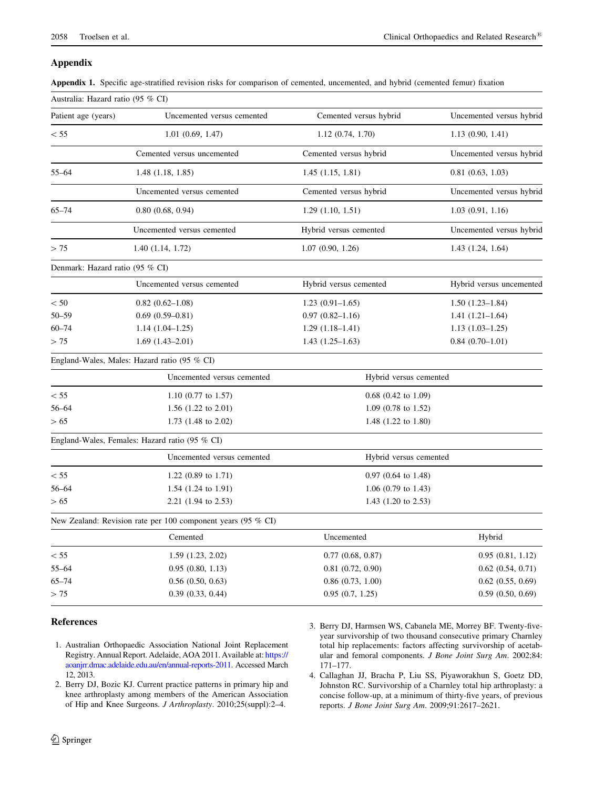#### <span id="page-6-0"></span>Appendix

Appendix 1. Specific age-stratified revision risks for comparison of cemented, uncemented, and hybrid (cemented femur) fixation

| Australia: Hazard ratio (95 % CI) |                                                              |                                |                          |  |
|-----------------------------------|--------------------------------------------------------------|--------------------------------|--------------------------|--|
| Patient age (years)               | Uncemented versus cemented                                   | Cemented versus hybrid         | Uncemented versus hybrid |  |
| < 55                              | 1.01(0.69, 1.47)                                             | 1.12(0.74, 1.70)               | 1.13(0.90, 1.41)         |  |
|                                   | Cemented versus uncemented                                   | Cemented versus hybrid         | Uncemented versus hybrid |  |
| 55–64                             | 1.48(1.18, 1.85)                                             | 1.45(1.15, 1.81)               | 0.81(0.63, 1.03)         |  |
|                                   | Uncemented versus cemented                                   | Cemented versus hybrid         | Uncemented versus hybrid |  |
| $65 - 74$                         | 0.80(0.68, 0.94)                                             | 1.29(1.10, 1.51)               | 1.03(0.91, 1.16)         |  |
|                                   | Uncemented versus cemented                                   | Hybrid versus cemented         | Uncemented versus hybrid |  |
| > 75                              | 1.40(1.14, 1.72)                                             | 1.07(0.90, 1.26)               | 1.43(1.24, 1.64)         |  |
| Denmark: Hazard ratio (95 % CI)   |                                                              |                                |                          |  |
|                                   | Uncemented versus cemented                                   | Hybrid versus cemented         | Hybrid versus uncemented |  |
| < 50                              | $0.82(0.62 - 1.08)$                                          | $1.23(0.91-1.65)$              | $1.50(1.23 - 1.84)$      |  |
| $50 - 59$                         | $0.69(0.59 - 0.81)$                                          | $0.97(0.82 - 1.16)$            | $1.41(1.21-1.64)$        |  |
| $60 - 74$                         | $1.14(1.04-1.25)$                                            | $1.29(1.18-1.41)$              | $1.13(1.03-1.25)$        |  |
| > 75                              | $1.69(1.43 - 2.01)$                                          | $1.43(1.25-1.63)$              | $0.84(0.70-1.01)$        |  |
|                                   | England-Wales, Males: Hazard ratio (95 % CI)                 |                                |                          |  |
|                                   | Uncemented versus cemented                                   | Hybrid versus cemented         |                          |  |
| < 55                              | $1.10$ (0.77 to 1.57)                                        | $0.68$ (0.42 to 1.09)          |                          |  |
| 56-64                             | 1.56 $(1.22 \text{ to } 2.01)$                               | 1.09 (0.78 to 1.52)            |                          |  |
| > 65                              | 1.73 $(1.48 \text{ to } 2.02)$                               | 1.48 (1.22 to 1.80)            |                          |  |
|                                   | England-Wales, Females: Hazard ratio (95 % CI)               |                                |                          |  |
|                                   | Uncemented versus cemented                                   | Hybrid versus cemented         |                          |  |
| < 55                              | 1.22 $(0.89 \text{ to } 1.71)$                               | $0.97$ (0.64 to 1.48)          |                          |  |
| 56-64                             | 1.54 (1.24 to 1.91)                                          | 1.06 $(0.79 \text{ to } 1.43)$ |                          |  |
| > 65                              | $2.21$ (1.94 to 2.53)                                        | 1.43 $(1.20 \text{ to } 2.53)$ |                          |  |
|                                   | New Zealand: Revision rate per 100 component years (95 % CI) |                                |                          |  |
|                                   | Cemented                                                     | Uncemented                     | Hybrid                   |  |
| < 55                              | 1.59(1.23, 2.02)                                             | 0.77(0.68, 0.87)               | 0.95(0.81, 1.12)         |  |
| 55–64                             | 0.95(0.80, 1.13)                                             | $0.81$ $(0.72, 0.90)$          | 0.62(0.54, 0.71)         |  |
| $65 - 74$                         | 0.56(0.50, 0.63)                                             | 0.86(0.73, 1.00)               | $0.62$ $(0.55, 0.69)$    |  |
| > 75                              | 0.39(0.33, 0.44)                                             | 0.95(0.7, 1.25)                | 0.59(0.50, 0.69)         |  |

## References

- 1. Australian Orthopaedic Association National Joint Replacement Registry. Annual Report. Adelaide, AOA 2011. Available at: [https://](https://aoanjrr.dmac.adelaide.edu.au/en/annual-reports-2011) [aoanjrr.dmac.adelaide.edu.au/en/annual-reports-2011.](https://aoanjrr.dmac.adelaide.edu.au/en/annual-reports-2011) Accessed March 12, 2013.
- 2. Berry DJ, Bozic KJ. Current practice patterns in primary hip and knee arthroplasty among members of the American Association of Hip and Knee Surgeons. J Arthroplasty. 2010;25(suppl):2–4.

<sup>2</sup> Springer

- 3. Berry DJ, Harmsen WS, Cabanela ME, Morrey BF. Twenty-fiveyear survivorship of two thousand consecutive primary Charnley total hip replacements: factors affecting survivorship of acetabular and femoral components. J Bone Joint Surg Am. 2002;84: 171–177.
- 4. Callaghan JJ, Bracha P, Liu SS, Piyaworakhun S, Goetz DD, Johnston RC. Survivorship of a Charnley total hip arthroplasty: a concise follow-up, at a minimum of thirty-five years, of previous reports. J Bone Joint Surg Am. 2009;91:2617–2621.